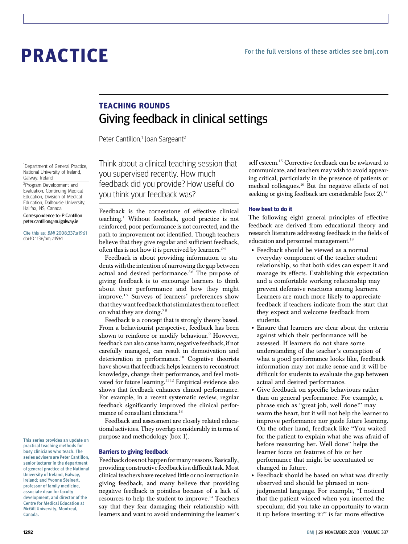# PRACTICE

# TEACHING ROUNDS Giving feedback in clinical settings

Peter Cantillon,<sup>1</sup> Joan Sargeant<sup>2</sup>

<sup>1</sup>Department of General Practice, National University of Ireland, Galway, Ireland

<sup>2</sup>Program Development and Evaluation, Continuing Medical Education, Division of Medical Education, Dalhousie University, Halifax, NS, Canada Correspondence to: P Cantillon peter.cantillon@nuigalway.ie

Cite this as: BMJ 2008;337:a1961 doi:10.1136/bmj.a1961

This series provides an update on practical teaching methods for busy clinicians who teach. The series advisers are Peter Cantillon, senior lecturer in the department of general practice at the National University of Ireland, Galway, Ireland; and Yvonne Steinert, professor of family medicine, associate dean for faculty development, and director of the Centre for Medical Education at McGill University, Montreal, Canada.

Think about a clinical teaching session that you supervised recently. How much feedback did you provide? How useful do you think your feedback was?

Feedback is the cornerstone of effective clinical teaching.1 Without feedback, good practice is not reinforced, poor performance is not corrected, and the path to improvement not identified. Though teachers believe that they give regular and sufficient feedback, often this is not how it is perceived by learners.<sup>2-4</sup>

Feedback is about providing information to students with the intention of narrowing the gap between actual and desired performance.<sup>56</sup> The purpose of giving feedback is to encourage learners to think about their performance and how they might improve.<sup>12</sup> Surveys of learners' preferences show that they want feedback that stimulates them to reflect on what they are doing.<sup>78</sup>

Feedback is a concept that is strongly theory based. From a behaviourist perspective, feedback has been shown to reinforce or modify behaviour.<sup>9</sup> However, feedback can also cause harm; negative feedback, if not carefully managed, can result in demotivation and deterioration in performance.<sup>10</sup> Cognitive theorists have shown that feedback helps learners to reconstruct knowledge, change their performance, and feel motivated for future learning.<sup>1112</sup> Empirical evidence also shows that feedback enhances clinical performance. For example, in a recent systematic review, regular feedback significantly improved the clinical performance of consultant clinicians.<sup>13</sup>

Feedback and assessment are closely related educational activities. They overlap considerably in terms of purpose and methodology (box 1).

# Barriers to giving feedback

Feedback does not happen for many reasons. Basically, providing constructive feedback is a difficult task.Most clinical teachers have received little or no instruction in giving feedback, and many believe that providing negative feedback is pointless because of a lack of resources to help the student to improve.14 Teachers say that they fear damaging their relationship with learners and want to avoid undermining the learner's self esteem.<sup>15</sup> Corrective feedback can be awkward to communicate, and teachers may wish to avoid appearing critical, particularly in the presence of patients or medical colleagues.16 But the negative effects of not seeking or giving feedback are considerable (box 2).<sup>17</sup>

### How best to do it

The following eight general principles of effective feedback are derived from educational theory and research literature addressing feedback in the fields of education and personnel management.<sup>18</sup>

- Feedback should be viewed as a normal everyday component of the teacher-student relationship, so that both sides can expect it and manage its effects. Establishing this expectation and a comfortable working relationship may prevent defensive reactions among learners. Learners are much more likely to appreciate feedback if teachers indicate from the start that they expect and welcome feedback from students.
- Ensure that learners are clear about the criteria against which their performance will be assessed. If learners do not share some understanding of the teacher's conception of what a good performance looks like, feedback information may not make sense and it will be difficult for students to evaluate the gap between actual and desired performance.
- Give feedback on specific behaviours rather than on general performance. For example, a phrase such as "great job, well done!" may warm the heart, but it will not help the learner to improve performance nor guide future learning. On the other hand, feedback like "You waited for the patient to explain what she was afraid of before reassuring her. Well done" helps the learner focus on features of his or her performance that might be accentuated or changed in future.
- Feedback should be based on what was directly observed and should be phrased in nonjudgmental language. For example, "I noticed that the patient winced when you inserted the speculum; did you take an opportunity to warm it up before inserting it?" is far more effective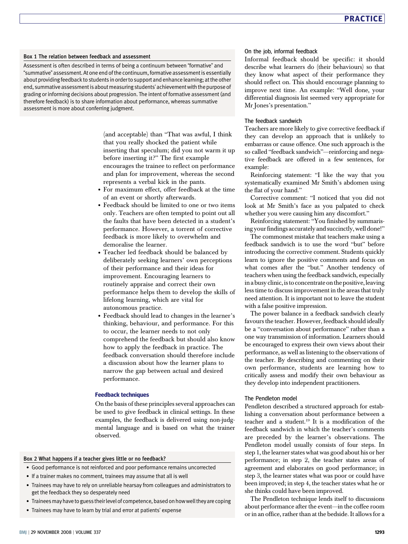#### Box 1 The relation between feedback and assessment

Assessment is often described in terms of being a continuum between "formative" and "summative" assessment. At one end of the continuum,formative assessment is essentially about providing feedback to students in order to support and enhance learning; at the other end, summative assessment is aboutmeasuring students' achievementwith the purpose of grading or informing decisions about progression. The intent of formative assessment (and therefore feedback) is to share information about performance, whereas summative assessment is more about conferring judgment.

> (and acceptable) than "That was awful, I think that you really shocked the patient while inserting that speculum; did you not warm it up before inserting it?" The first example encourages the trainee to reflect on performance and plan for improvement, whereas the second represents a verbal kick in the pants.

- For maximum effect, offer feedback at the time of an event or shortly afterwards.
- Feedback should be limited to one or two items only. Teachers are often tempted to point out all the faults that have been detected in a student's performance. However, a torrent of corrective feedback is more likely to overwhelm and demoralise the learner.
- Teacher led feedback should be balanced by deliberately seeking learners' own perceptions of their performance and their ideas for improvement. Encouraging learners to routinely appraise and correct their own performance helps them to develop the skills of lifelong learning, which are vital for autonomous practice.
- Feedback should lead to changes in the learner's thinking, behaviour, and performance. For this to occur, the learner needs to not only comprehend the feedback but should also know how to apply the feedback in practice. The feedback conversation should therefore include a discussion about how the learner plans to narrow the gap between actual and desired performance.

#### Feedback techniques

On the basis of these principles several approaches can be used to give feedback in clinical settings. In these examples, the feedback is delivered using non-judgmental language and is based on what the trainer observed.

## Box 2 What happens if a teacher gives little or no feedback?

- Good performance is not reinforced and poor performance remains uncorrected
- If a trainer makes no comment, trainees may assume that all is well
- Trainees may have to rely on unreliable hearsay from colleagues and administrators to get the feedback they so desperately need
- Traineesmay have to guess theirlevel of competence, based on howwell they are coping
- Trainees may have to learn by trial and error at patients' expense

#### On the job, informal feedback

Informal feedback should be specific: it should describe what learners do (their behaviours) so that they know what aspect of their performance they should reflect on. This should encourage planning to improve next time. An example: "Well done, your differential diagnosis list seemed very appropriate for Mr Jones's presentation."

#### The feedback sandwich

Teachers are more likely to give corrective feedback if they can develop an approach that is unlikely to embarrass or cause offence. One such approach is the so called "feedback sandwich"—reinforcing and negative feedback are offered in a few sentences, for example:

Reinforcing statement: "I like the way that you systematically examined Mr Smith's abdomen using the flat of your hand."

Corrective comment: "I noticed that you did not look at Mr Smith's face as you palpated to check whether you were causing him any discomfort."

Reinforcing statement: "You finished by summarising your findings accurately and succinctly, well done!"

The commonest mistake that teachers make using a feedback sandwich is to use the word "but" before introducing the corrective comment. Students quickly learn to ignore the positive comments and focus on what comes after the "but." Another tendency of teachers when using the feedback sandwich, especially in a busy clinic, is to concentrate on the positive, leaving less time to discuss improvement in the areas that truly need attention. It is important not to leave the student with a false positive impression.

The power balance in a feedback sandwich clearly favours the teacher. However, feedback should ideally be a "conversation about performance" rather than a one way transmission of information. Learners should be encouraged to express their own views about their performance, as well as listening to the observations of the teacher. By describing and commenting on their own performance, students are learning how to critically assess and modify their own behaviour as they develop into independent practitioners.

#### The Pendleton model

Pendleton described a structured approach for establishing a conversation about performance between a teacher and a student.19 It is a modification of the feedback sandwich in which the teacher's comments are preceded by the learner's observations. The Pendleton model usually consists of four steps. In step 1, the learner states what was good about his or her performance; in step 2, the teacher states areas of agreement and elaborates on good performance; in step 3, the learner states what was poor or could have been improved; in step 4, the teacher states what he or she thinks could have been improved.

The Pendleton technique lends itself to discussions about performance after the event—in the coffee room or in an office, rather than at the bedside. It allows for a